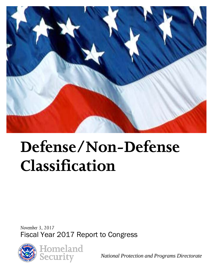

# **Defense/Non-Defense Classification**

*November 3, 2017* Fiscal Year 2017 Report to Congress





*National Protection and Programs Directorate*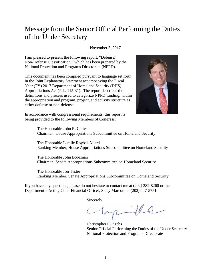# Message from the Senior Official Performing the Duties of the Under Secretary

November 3, 2017

I am pleased to present the following report, "Defense/ Non-Defense Classification," which has been prepared by the National Protection and Programs Directorate (NPPD).

This document has been compiled pursuant to language set forth in the Joint Explanatory Statement accompanying the Fiscal Year (FY) 2017 Department of Homeland Security (DHS) Appropriations Act (P.L. 115-31). The report describes the definitions and process used to categorize NPPD funding, within the appropriation and program, project, and activity structure as either defense or non-defense.



In accordance with congressional requirements, this report is being provided to the following Members of Congress:

> The Honorable John R. Carter Chairman, House Appropriations Subcommittee on Homeland Security

The Honorable Lucille Roybal-Allard Ranking Member, House Appropriations Subcommittee on Homeland Security

The Honorable John Boozman Chairman, Senate Appropriations Subcommittee on Homeland Security

The Honorable Jon Tester Ranking Member, Senate Appropriations Subcommittee on Homeland Security

If you have any questions, please do not hesitate to contact me at (202) 282-8260 or the Department's Acting Chief Financial Officer, Stacy Marcott, at (202) 447-5751.

Sincerely,

chpfe

Christopher C. Krebs Senior Official Performing the Duties of the Under Secretary National Protection and Programs Directorate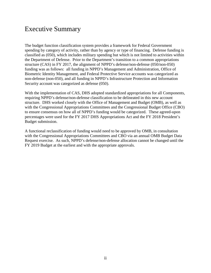# Executive Summary

The budget function classification system provides a framework for Federal Government spending by category of activity, rather than by agency or type of financing. Defense funding is classified as (050), which includes military spending but which is not limited to activities within the Department of Defense. Prior to the Department's transition to a common appropriations structure (CAS) in FY 2017, the alignment of NPPD's defense/non-defense (050/non-050) funding was as follows: all funding in NPPD's Management and Administration, Office of Biometric Identity Management, and Federal Protective Service accounts was categorized as non-defense (non-050), and all funding in NPPD's Infrastructure Protection and Information Security account was categorized as defense (050).

With the implementation of CAS, DHS adopted standardized appropriations for all Components, requiring NPPD's defense/non-defense classification to be delineated in this new account structure. DHS worked closely with the Office of Management and Budget (OMB), as well as with the Congressional Appropriations Committees and the Congressional Budget Office (CBO) to ensure consensus on how all of NPPD's funding would be categorized. These agreed-upon percentages were used for the FY 2017 DHS Appropriations Act and the FY 2018 President's Budget submission.

A functional reclassification of funding would need to be approved by OMB, in consultation with the Congressional Appropriations Committees and CBO via an annual OMB Budget Data Request exercise. As such, NPPD's defense/non-defense allocation cannot be changed until the FY 2019 Budget at the earliest and with the appropriate approvals.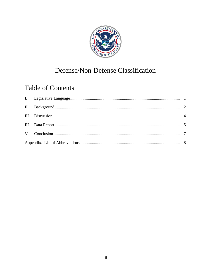

# Defense/Non-Defense Classification

# **Table of Contents**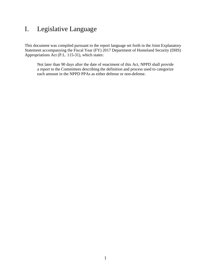# <span id="page-4-0"></span>I. Legislative Language

This document was compiled pursuant to the report language set forth in the Joint Explanatory Statement accompanying the Fiscal Year (FY) 2017 Department of Homeland Security (DHS) Appropriations Act (P.L. 115-31), which states:

Not later than 90 days after the date of enactment of this Act, NPPD shall provide a report to the Committees describing the definition and process used to categorize each amount in the NPPD PPAs as either defense or non-defense.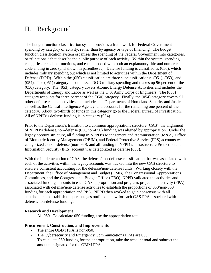### <span id="page-5-0"></span>II. Background

The budget function classification system provides a framework for Federal Government spending by category of activity, rather than by agency or type of financing. The budget function classification system organizes the spending of the Federal Government into categories, or "functions," that describe the public purpose of each activity. Within the system, spending categories are called functions, and each is coded with both an explanatory title and numeric code ending in zero (and shown in parentheses). Defense funding is classified as (050), which includes military spending but which is not limited to activities within the Department of Defense (DOD). Within the (050) classification are three subclassifications: (051), (053), and (054). The (051) category encompasses DOD military spending and makes up 96 percent of the (050) category. The (053) category covers Atomic Energy Defense Activities and includes the Departments of Energy and Labor as well as the U.S. Army Corps of Engineers. The (053) category accounts for three percent of the (050) category. Finally, the (054) category covers all other defense-related activities and includes the Departments of Homeland Security and Justice as well as the Central Intelligence Agency, and accounts for the remaining one percent of the category. About two-thirds of funds in this category go to the Federal Bureau of Investigation. All of NPPD's defense funding is in category (054).

Prior to the Department's transition to a common appropriations structure (CAS), the alignment of NPPD's defense/non-defense (050/non-050) funding was aligned by appropriation. Under the legacy account structure, all funding in NPPD's Management and Administration (M&A), Office of Biometric Identity Management (OBIM), and Federal Protective Service (FPS) accounts was categorized as non-defense (non-050), and all funding in NPPD's Infrastructure Protection and Information Security (IPIS) account was categorized as defense (050).

With the implementation of CAS, the defense/non-defense classification that was associated with each of the activities within the legacy accounts was tracked into the new CAS structure to ensure a consistent accounting for the defense/non-defense funds. Working closely with the Department, the Office of Management and Budget (OMB), the Congressional Appropriations Committees, and the Congressional Budget Office (CBO), NPPD validated the activities and associated funding amounts in each CAS appropriation and program, project, and activity (PPA) associated with defense/non-defense activities to establish the proportions of 050/non-050 funding for each appropriation and PPA. NPPD then worked to gain consensus with all stakeholders to establish the percentages outlined below for each CAS PPA associated with defense/non-defense funding.

#### **Research and Development**

All 050. To calculate 050 funding, use the appropriation total.

#### **Procurement, Construction, and Improvements**

- The entire OBIM PPA is non-050.<br>- The Cybersecurity and Emergency
- The Cybersecurity and Emergency Communications PPAs are 050.
- To calculate 050 funding for the appropriation, take the account total and subtract the amount designated for the OBIM PPA.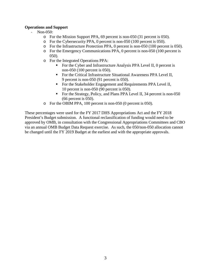#### **Operations and Support**

- Non-050:
	- o For the Mission Support PPA, 69 percent is non-050 (31 percent is 050).
	- o For the Cybersecurity PPA, 0 percent is non-050 (100 percent is 050).
	- o For the Infrastructure Protection PPA, 0 percent is non-050 (100 percent is 050).
	- o For the Emergency Communications PPA, 0 percent is non-050 (100 percent is 050).
	- o For the Integrated Operations PPA:
		- For the Cyber and Infrastructure Analysis PPA Level II, 0 percent is non-050 (100 percent is 050).
		- **For the Critical Infrastructure Situational Awareness PPA Level II,** 9 percent is non-050 (91 percent is 050).
		- For the Stakeholder Engagement and Requirements PPA Level II, 10 percent is non-050 (90 percent is 050).
		- For the Strategy, Policy, and Plans PPA Level II, 34 percent is non-050 (66 percent is 050).
	- o For the OBIM PPA, 100 percent is non-050 (0 percent is 050).

These percentages were used for the FY 2017 DHS Appropriations Act and the FY 2018 President's Budget submission. A functional reclassification of funding would need to be approved by OMB, in consultation with the Congressional Appropriations Committees and CBO via an annual OMB Budget Data Request exercise. As such, the 050/non-050 allocation cannot be changed until the FY 2019 Budget at the earliest and with the appropriate approvals.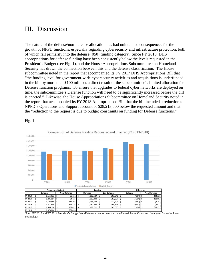### <span id="page-7-0"></span>III. Discussion

The nature of the defense/non-defense allocation has had unintended consequences for the growth of NPPD functions, especially regarding cybersecurity and infrastructure protection, both of which fall primarily into the defense (050) funding category. Since FY 2013, DHS appropriations for defense funding have been consistently below the levels requested in the President's Budget (see Fig. 1), and the House Appropriations Subcommittee on Homeland Security has drawn the connection between this and the defense classification. The House subcommittee noted in the report that accompanied its FY 2017 DHS Appropriations Bill that "the funding level for government-wide cybersecurity activities and acquisitions is underfunded in the bill by more than \$100 million, a direct result of the subcommittee's limited allocation for Defense function programs. To ensure that upgrades to federal cyber networks are deployed on time, the subcommittee's Defense function will need to be significantly increased before the bill is enacted." Likewise, the House Appropriations Subcommittee on Homeland Security noted in the report that accompanied its FY 2018 Appropriations Bill that the bill included a reduction to NPPD's Operations and Support account of \$28,213,000 below the requested amount and that the "reduction to the request is due to budget constraints on funding for Defense functions."



FY 2017 \$ 1,545,136 \$ 363,431 \$ 1,473,712 \$ 345,060 \$ (71,424) \$ (18,371)

Fig. 1

FY 2018 \$ 1,470,006 \$ 331,428

Note: FY 2013 and FY 2014 President's Budget Non-Defense amounts do not include United States Visitor and Immigrant Status Indicator Technology.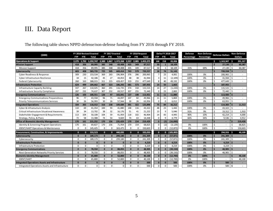# III. Data Report

<span id="page-8-0"></span>

| (5000)                                               |             | FY 2016 Revised Enacted           |                 |                                    | FY 2017 Enacted |                                   |              | FY 2018 Request |                      |                |                | Delta FY 2018-2017 | <b>Defense</b> | Non-Defense | <b>Defense Dollars</b> |                                | <b>Non-Defense</b> |         |
|------------------------------------------------------|-------------|-----------------------------------|-----------------|------------------------------------|-----------------|-----------------------------------|--------------|-----------------|----------------------|----------------|----------------|--------------------|----------------|-------------|------------------------|--------------------------------|--------------------|---------|
|                                                      |             | FTE<br><b>Total</b><br><b>FTP</b> |                 | <b>FTP</b><br>FTE.<br><b>Total</b> |                 | FTE.<br><b>Total</b><br>FTP.      |              | <b>FTP</b>      | <b>Total</b><br>FTE. |                | Percentage     | Percentage         |                |             | <b>Dollars</b>         |                                |                    |         |
| <b>Operations &amp; Support</b>                      | 2.275       |                                   | 1,792 1,292,747 |                                    |                 | 2,389 1,867 1,372,268 2,557 2,085 |              |                 | 1,455,275            | 168            | 218            | 83,006             |                |             | Ŝ                      | 1,163,947                      | - \$               | 291,327 |
| <b>Mission Support</b>                               | 418         | 356                               | 89,995          | 385                                | 348             | 69,408                            | 435          | 349             | 87,517               | 50             | $\mathbf{1}$   | 18,109             |                |             | Ś                      | $27,130$ \$                    |                    | 60,387  |
| <b>Mission Support</b>                               | 418         | 356                               | 89,995          | 385                                | 348             | 69,408                            | 435          | 349             | 87,517               | 50             | $\overline{1}$ | 18,109             | 31%            | 69%         | \$                     | 27,130                         | l S                | 60,387  |
| <b>Cybersecurity</b>                                 | 603         | 408                               | 583,735         | 725                                | 505             | 669,414                           | 743          | 579             | 720,557              | 18             | 74             | 51,143             |                |             | Ś                      | $720,558$ $\frac{1}{5}$        |                    |         |
| <b>Cyber Readiness &amp; Response</b>                | 309         | 230                               | 153,534         | 369                                | 263             | 196,904                           | 376          | 286             | 200,965              | $\overline{7}$ | 23             | 4,061              | 100%           | 0%          | \$                     | 200,965                        | l s                |         |
| Cyber Infrastructure Resilience                      | 34          | 15                                | 42,186          | 45                                 | 27              | 44,053                            | 48           | 38              | 41,944               | 3              | 11             | (2, 109)           | 100%           | 0%          | $\zeta$                | 41,944                         |                    |         |
| <b>Federal Cybersecurity</b>                         | 260         | 163                               | 388,015         | 311                                | 215             | 428,457                           | 319          | 255             | 477,649              | 8              | 40             | 49,192             | 100%           | 0%          | -\$                    | 477,649                        | l \$               |         |
| <b>Infrastructure Protection</b>                     | 624         | 499                               | 184,662         | 667                                | 523             | 186,292                           | 681          | 573             | 187,955              | 14             | 50             | 1,663              |                |             | $\mathsf{s}$           | 187,955                        |                    |         |
| Infrastructure Capacity Building                     | 337         | 267                               | 110,025         | 360                                | 291             | 116,735                           | 374          | 318             | 115,515              | 14             | 27             | (1, 220)           | 100%           | 0%          | \$                     | 115,515                        | l ś                |         |
| Infrastructure Security Compliance                   | 287         | 232                               | 74,637          | 307                                | 232             | 69,557                            | 307          | 255             | 72,440               | $\Omega$       | 23             | 2,883              | 100%           | 0%          | \$                     | $72,440$   \$                  |                    |         |
| <b>Emergency Communications</b>                      | 126         | 103                               | 100,551         | 126                                | 97              | 102.041                           | 137          | 108             | 113.921              | 11             | 11             | 11.880             |                |             | Ś                      | 113,920                        |                    |         |
| <b>Emergency Communications Preparedness</b>         | 96          | 77                                | 43,558          | 96                                 | 71              | 44,097                            | 107          | 82              | 49,966               | 11             | 11             | 5,869              | 100%           | 0%          | \$                     | 49,966                         | l \$               |         |
| <b>Priority Telecommunications Services</b>          | 30          | 26                                | 56,993          | 30                                 | 26              | 57,944                            | 30           | 26              | 63,956               | $\Omega$       | $\Omega$       | 6,012              | 100%           | 0%          | $\zeta$                | 63,955                         | l \$               |         |
| <b>Integrated Operations</b>                         | 334         | 265                               | 118.552         | 316                                | 238             | 109,684                           | 391          | 322             | 125.896              | 75             | 84             | 16.212             |                |             | $\mathbf{\hat{S}}$     | 114.383                        |                    | 11.513  |
| Cyber & Infrastucture Analysis                       | 110         | 69                                | 41,354          | 100                                | 93              | 41,880                            | 148          | 116             | 43,322               | 48             | 23             | 1,442              | 100%           | 0%          | \$                     | 43,322                         | l \$               |         |
| <b>Critical Infrastructure Situational Awareness</b> | 39          | 34                                | 13,702          | 38                                 | 32              | 16,176                            | 51           | 41              | 21,222               | 13             | 9              | 5,046              | 91%            | 9%          | \$                     | 19,312                         | l ś                | 1,910   |
| Stakeholder Engagement & Requirements                | 113         | 104                               | 50,108          | 104                                | 59              | 41,959                            | 118          | 102             | 46,904               | 14             | 43             | 4,945              | 90%            | 10%         | \$                     | 42,214                         | l ś                | 4,690   |
| Strategy, Policy, & Plans                            | 72          | 58                                | 13,388          | 74                                 | 54              | 9,669                             | 74           | 63              | 14,448               | $\Omega$       | 9              | 4,779              | 66%            | 34%         | \$                     | 9,536                          | l ś                | 4,912   |
| <b>Office of Biometric Identity Management</b>       | 170         | 161                               | 215,252         | 170                                | 156             | 235,429                           | 170          | 154             | 219,429              | $\mathbf{0}$   | (2)            | (16,000)           |                |             | $\ddot{\mathbf{s}}$    |                                |                    | 219,428 |
| <b>Identity &amp; Screening Program Operations</b>   | 170         | 161                               | 69,827          | 170                                | 156             | 71,954                            | 170          | 154             | 68,825               | $\mathbf 0$    | (2)            | (3, 129)           | 0%             | 100%        | Ś                      | $\overline{\phantom{a}}$       |                    | 68,825  |
| <b>IDENT/HART Operations &amp; Maintenance</b>       | $\Omega$    | 0                                 | 145,425         | $\mathbf 0$                        | $\mathbf 0$     | 163,475                           | $\Omega$     | 0               | 150,603              | $\mathbf 0$    | $\Omega$       | (12, 872)          | 0%             | 100%        | \$                     |                                | Ś.                 | 150,603 |
| <b>Procurement, Construction, &amp; Improvements</b> | $\mathbf 0$ | $\mathbf{0}$                      | 333.523         | $\mathbf{0}$                       | $\Omega$        | 440.035                           | $\mathbf{0}$ | $\mathbf{0}$    | 335,033              | $\mathbf{0}$   | $\mathbf{0}$   | (105,002)          |                |             | Ś                      | 294,933                        | Ŝ                  | 40,100  |
| Cybersecurity                                        | $\Omega$    | $\Omega$                          | 189.173         | $\mathbf{0}$                       | $\Omega$        | 299.180                           | $\Omega$     | $\Omega$        | 241.309              | $\mathbf{0}$   | $\mathbf{0}$   | (57, 871)          | 100%           | 0%          | Ś                      | $241,309$ \$                   |                    |         |
| Cybersecurity                                        | $\Omega$    | 0                                 | 189,173         | $\mathbf 0$                        | 0               | 299,180                           | $\mathbf 0$  | $\mathbf{0}$    | 241,309              | $\mathbf 0$    | $\Omega$       | (57, 871)          | 100%           | 0%          | $\zeta$                | 241,309                        | l s                |         |
| Infrastructure Protection                            | $\Omega$    | 0                                 | $\Omega$        | $\Omega$                           | $\Omega$        | O                                 | $\Omega$     | $\bf{0}$        | 4.219                | $\mathbf{0}$   | $\Omega$       | 4,219              | 100%           | 0%          | Ś                      | $4,219$   \$                   |                    |         |
| Infrastructure Protection                            | $\Omega$    | $\Omega$                          | $\Omega$        | $\Omega$                           | $\Omega$        | $\Omega$                          | $\Omega$     | $\Omega$        | 4.219                | $\mathbf 0$    | $\Omega$       | 4,219              | 100%           | 0%          | $\zeta$                | 4,219                          | l s                |         |
| <b>Emergency Communications</b>                      | $\Omega$    | n                                 | 78,550          | $\bf{0}$                           | $\Omega$        | 88.055                            | $\Omega$     | $\Omega$        | 48.905               | $\mathbf{0}$   | $\Omega$       | (39, 150)          | 100%           | 0%          | Ś                      | 48,905                         | l s                |         |
| <b>Next Generation Networks Priority Services</b>    | $\Omega$    | $\Omega$                          | 78,550          | $\mathbf 0$                        | $\Omega$        | 88,055                            | $\Omega$     | $\Omega$        | 48,905               | $\Omega$       | $\Omega$       | (39, 150)          | 100%           | 0%          | \$                     | 48,905                         | l \$               |         |
| <b>Biometric Identity Management</b>                 | $\bf{0}$    | $\mathbf{0}$                      | 65,800          | $\mathbf{0}$                       | $\mathbf{0}$    | 52,800                            | $\mathbf 0$  | $\mathbf{0}$    | 40,100               | $\mathbf{0}$   | $\mathbf{0}$   | (12,700)           | 0%             | 100%        | Ś                      | $\overline{\phantom{a}}$       |                    | 40,100  |
| <b>IDENT/HART</b>                                    | $\Omega$    | 0                                 | 65,800          | $\mathbf 0$                        | $\mathbf 0$     | 52,800                            | $\mathbf 0$  | 0               | 40,100               | $\mathbf 0$    | $\Omega$       | (12,700)           | 0%             | 100%        | \$                     |                                |                    | 40,100  |
| Integrated Operations Assets and Infrastructure      | $\Omega$    | $\Omega$                          | $\Omega$        | $\Omega$                           | $\Omega$        | $\Omega$                          | $\Omega$     | $\Omega$        | 500                  | $\mathbf{0}$   | $\Omega$       | 500                | 100%           | 0%          | $\ddot{\mathbf{s}}$    | 500                            |                    |         |
| Integrated Operations Assets and Infrastructure      | $\Omega$    | $\Omega$                          | $\Omega$        | $\Omega$                           | $\Omega$        | $\Omega$                          | $\Omega$     | $\Omega$        | 500                  | $\Omega$       | $\Omega$       | 500                | 100%           | 0%          | Ś                      | $500$ $\overline{\phantom{0}}$ |                    |         |

The following table shows NPPD defense/non-defense funding from FY 2016 through FY 2018.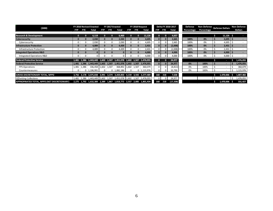| (5000)                                       | FY 2016 Revised Enacted |                          |                            | FY 2017 Enacted |          |                                                                   | FY 2018 Request |          |                      | Delta FY 2018-2017 |              |            | Defense    |      | Non-Defense Defense Dollars |                       | Non-Defense |           |  |
|----------------------------------------------|-------------------------|--------------------------|----------------------------|-----------------|----------|-------------------------------------------------------------------|-----------------|----------|----------------------|--------------------|--------------|------------|------------|------|-----------------------------|-----------------------|-------------|-----------|--|
|                                              | FTP.                    | FTE                      | Total<br><b>FTP</b><br>FTE |                 | Total    | <b>FTP</b><br>FTE<br>Total                                        |                 |          | FTE<br>Total<br>FTP. |                    |              | Percentage | Percentage |      |                             | <b>Dollars</b>        |             |           |  |
| <b>Research &amp; Development</b>            |                         | $\mathbf{0}$<br>$\Omega$ | 6,119                      |                 | $\Omega$ | 6,469                                                             | n               | $\Omega$ | 11,126               | $\mathbf{0}$       | $\mathbf{0}$ | 4,657      |            |      |                             | 11,126                |             | ٠         |  |
| <b>Cybersecurity</b>                         |                         | $\bf{0}$                 | 2,030                      |                 |          | 2,030                                                             |                 |          | 4,695                | $\overline{0}$     | $\mathbf{0}$ | 2,665      | 100%       | 0%   |                             | 4,695                 |             |           |  |
| Cybersecurity                                | $\mathbf{0}$            | 0                        | 2,030                      | 0               | 0        | 2,030                                                             | 0               | n        | 4,695                | $\Omega$           |              | 2,665      | 100%       | 0%   |                             | 4,695                 |             |           |  |
| <b>Infrastructure Protection</b>             |                         | $\bf{0}$                 | 4,089                      |                 |          | 4,439                                                             |                 |          | 2,431                | $\Omega$           | $\Omega$     | (2,008)    | 100%       | 0%   |                             | 2,431                 |             |           |  |
| Infrastructure Protection                    | $\mathbf{0}$            |                          | 4,089                      |                 | $\Omega$ | 4,439                                                             | $\Omega$        |          | 2,431                |                    |              | (2,008)    | 100%       | 0%   |                             | $2,431$ $\frac{1}{2}$ |             |           |  |
| <b>Integrated Operations R&amp;D</b>         |                         | $\bf{0}$                 | $\Omega$                   |                 |          | О.                                                                |                 |          | 4,000                | $\mathbf{0}$       | $\Omega$     | 4,000      | 100%       | 0%   |                             | 4,000                 |             |           |  |
| Integrated Operations R&D                    | 0                       |                          |                            |                 |          |                                                                   |                 |          | 4,000                | $\overline{0}$     |              | 4,000      | 100%       | 0%   |                             | $4,000$ \$            |             |           |  |
| <b>Federal Protective Service</b>            |                         |                          |                            |                 |          | 1,481 1,386 1,443,449 1,602 1,507 1,451,078 1,602 1,507 1,476,055 |                 |          |                      | $\mathbf{0}$       |              | 24,977     |            |      |                             | ٠                     |             | 1,476,055 |  |
| <b>Federal Protective Service</b>            |                         | 1,481 1,386              | 1,443,449   1,602          |                 | 1,507    | 1,451,078 1,602                                                   |                 | 1,507    | 1,476,055            | $\overline{0}$     |              | 24,977     | 0%         | 100% |                             |                       |             | 1,476,055 |  |
| <b>FPS Operations</b>                        | 1,481                   | 1,386                    | 336,458 1,602 1,507        |                 |          | 368,892 1,602 1,507                                               |                 |          | 360,079              | $\Omega$           |              | (8, 813)   | 0%         | 100% |                             |                       |             | 360,079   |  |
| Countermeasures                              | $\Omega$                |                          | $0 \mid 1,106,991$         | $\Omega$        |          | $0 \mid 1,082,186$                                                | $\Omega$        |          | $0 \mid 1,115,976$   | $\Omega$           |              | 33,790     | 0%         | 100% |                             |                       |             | 1,115,976 |  |
| <b>GROSS DISCRETIONARY TOTAL, NPPD</b>       |                         |                          |                            |                 |          | 3,756 3,178 3,075,838 3,991 3,374 3,269,850 4,159 3,592 3,277,489 |                 |          |                      | 168                | 218          | 7,638      |            |      |                             | 1,470,006             |             | 1,807,482 |  |
| <b>Offsetting Collections</b>                |                         |                          |                            |                 |          | 1,481 1,386 1,443,449 1,602 1,507 1,451,078 1,602 1,507 1,476,055 |                 |          |                      | $\Omega$           |              | 24,977     |            |      |                             |                       |             | 1,476,055 |  |
| APPROPRIATED TOTAL, NPPD (NET DISCRETIONARY) |                         |                          |                            |                 |          | 2,275 1,792 1,632,389 2,389 1,867 1,818,772 2,557 2,085 1,801,434 |                 |          |                      | 168                | 218          | (17, 338)  |            |      |                             | 1,470,006             |             | 331,427   |  |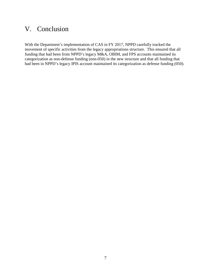# <span id="page-10-0"></span>V. Conclusion

With the Department's implementation of CAS in FY 2017, NPPD carefully tracked the movement of specific activities from the legacy appropriations structure. This ensured that all funding that had been from NPPD's legacy M&A, OBIM, and FPS accounts maintained its categorization as non-defense funding (non-050) in the new structure and that all funding that had been in NPPD's legacy IPIS account maintained its categorization as defense funding (050).